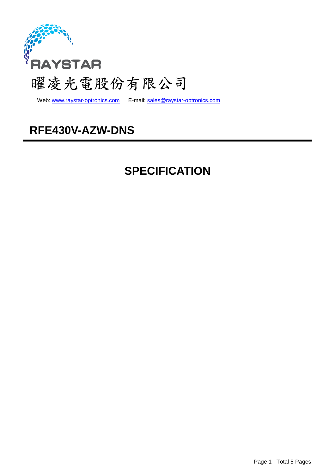

Web: www.raystar-optronics.com E-mail: sales@raystar-optronics.com

## **RFE430V-AZW-DNS**

## **SPECIFICATION**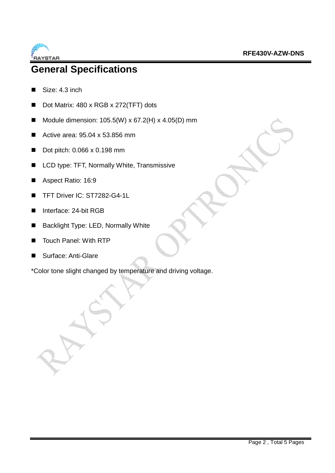

## **General Specifications**

- Size: 4.3 inch
- Dot Matrix: 480 x RGB x 272(TFT) dots
- Module dimension:  $105.5(W) \times 67.2(H) \times 4.05(D)$  mm
- Active area: 95.04 x 53.856 mm
- Dot pitch: 0.066 x 0.198 mm
- LCD type: TFT, Normally White, Transmissive
- Aspect Ratio: 16:9
- TFT Driver IC: ST7282-G4-1L
- Interface: 24-bit RGB
- Backlight Type: LED, Normally White
- Touch Panel: With RTP
- Surface: Anti-Glare

\*Color tone slight changed by temperature and driving voltage.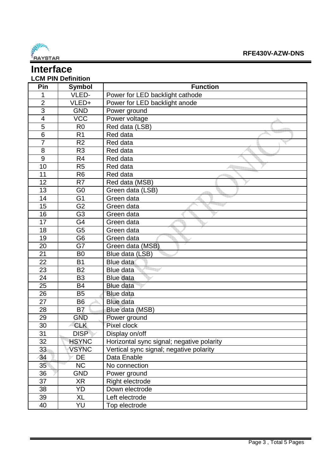

#### **Interface LCM PIN Definition**

| Pin            | Symbol         | <b>Function</b>                           |
|----------------|----------------|-------------------------------------------|
| 1              | VLED-          | Power for LED backlight cathode           |
| $\overline{2}$ | VLED+          | Power for LED backlight anode             |
| $\overline{3}$ | <b>GND</b>     | Power ground                              |
| 4              | <b>VCC</b>     | Power voltage                             |
| 5              | R <sub>0</sub> | Red data (LSB)                            |
| $\overline{6}$ | R <sub>1</sub> | Red data                                  |
| $\overline{7}$ | R <sub>2</sub> | Red data                                  |
| 8              | R <sub>3</sub> | Red data                                  |
| 9              | R <sub>4</sub> | Red data                                  |
| 10             | R <sub>5</sub> | Red data                                  |
| 11             | R <sub>6</sub> | Red data                                  |
| 12             | R <sub>7</sub> | Red data (MSB)                            |
| 13             | G <sub>0</sub> | Green data (LSB)                          |
| 14             | G <sub>1</sub> | Green data                                |
| 15             | G <sub>2</sub> | Green data                                |
| 16             | G <sub>3</sub> | Green data                                |
| 17             | G4             | Green data                                |
| 18             | G <sub>5</sub> | Green data                                |
| 19             | G <sub>6</sub> | Green data                                |
| 20             | G7             | Green data (MSB)                          |
| 21             | B <sub>0</sub> | Blue data (LSB)                           |
| 22             | B <sub>1</sub> | Blue data                                 |
| 23             | <b>B2</b>      | Blue data                                 |
| 24             | B <sub>3</sub> | <b>Blue data</b>                          |
| 25             | <b>B4</b>      | <b>Blue data</b>                          |
| 26             | <b>B5</b>      | <b>Blue data</b>                          |
| 27             | B <sub>6</sub> | <b>Blue data</b>                          |
| 28             | B <sub>7</sub> | Blue data (MSB)                           |
| 29             | <b>GND</b>     | Power ground                              |
| 30             | <b>CLK</b>     | Pixel clock                               |
| 31             | <b>DISP</b>    | Display on/off                            |
| 32             | <b>HSYNC</b>   | Horizontal sync signal; negative polarity |
| 33             | <b>VSYNC</b>   | Vertical sync signal; negative polarity   |
| 34             | DE             | Data Enable                               |
| 35             | <b>NC</b>      | No connection                             |
| 36             | <b>GND</b>     | Power ground                              |
| 37             | XR             | Right electrode                           |
| 38             | YD             | Down electrode                            |
| 39             | XL             | Left electrode                            |
| 40             | YU             | Top electrode                             |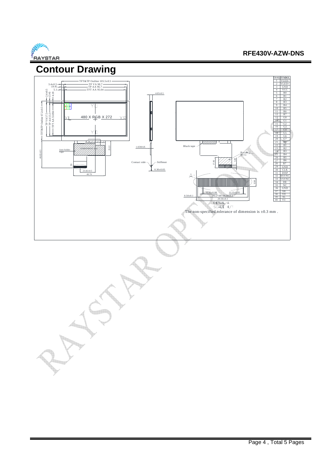

#### **RFE430V-AZW-DNS**